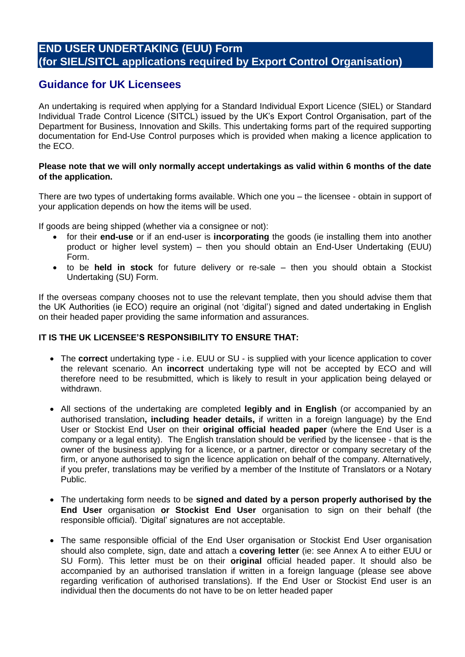# **END USER UNDERTAKING (EUU) Form (for SIEL/SITCL applications required by Export Control Organisation)**

# **Guidance for UK Licensees**

An undertaking is required when applying for a Standard Individual Export Licence (SIEL) or Standard Individual Trade Control Licence (SITCL) issued by the UK's Export Control Organisation, part of the Department for Business, Innovation and Skills. This undertaking forms part of the required supporting documentation for End-Use Control purposes which is provided when making a licence application to the ECO.

#### **Please note that we will only normally accept undertakings as valid within 6 months of the date of the application.**

There are two types of undertaking forms available. Which one you – the licensee - obtain in support of your application depends on how the items will be used.

If goods are being shipped (whether via a consignee or not):

- for their **end-use** or if an end-user is **incorporating** the goods (ie installing them into another product or higher level system) – then you should obtain an End-User Undertaking (EUU) Form.
- to be **held in stock** for future delivery or re-sale then you should obtain a Stockist Undertaking (SU) Form.

If the overseas company chooses not to use the relevant template, then you should advise them that the UK Authorities (ie ECO) require an original (not 'digital') signed and dated undertaking in English on their headed paper providing the same information and assurances.

### **IT IS THE UK LICENSEE'S RESPONSIBILITY TO ENSURE THAT:**

- The **correct** undertaking type i.e. EUU or SU is supplied with your licence application to cover the relevant scenario. An **incorrect** undertaking type will not be accepted by ECO and will therefore need to be resubmitted, which is likely to result in your application being delayed or withdrawn.
- All sections of the undertaking are completed **legibly and in English** (or accompanied by an authorised translation**, including header details,** if written in a foreign language) by the End User or Stockist End User on their **original official headed paper** (where the End User is a company or a legal entity). The English translation should be verified by the licensee - that is the owner of the business applying for a licence, or a partner, director or company secretary of the firm, or anyone authorised to sign the licence application on behalf of the company. Alternatively, if you prefer, translations may be verified by a member of the Institute of Translators or a Notary Public.
- The undertaking form needs to be **signed and dated by a person properly authorised by the End User** organisation **or Stockist End User** organisation to sign on their behalf (the responsible official). 'Digital' signatures are not acceptable.
- The same responsible official of the End User organisation or Stockist End User organisation should also complete, sign, date and attach a **covering letter** (ie: see Annex A to either EUU or SU Form). This letter must be on their **original** official headed paper. It should also be accompanied by an authorised translation if written in a foreign language (please see above regarding verification of authorised translations). If the End User or Stockist End user is an individual then the documents do not have to be on letter headed paper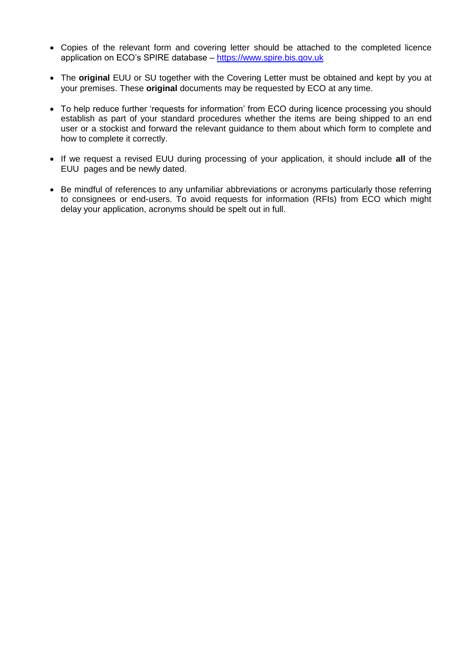- Copies of the relevant form and covering letter should be attached to the completed licence application on ECO's SPIRE database – [https://www.spire.bis.gov.uk](https://www.spire.bis.gov.uk/)
- The **original** EUU or SU together with the Covering Letter must be obtained and kept by you at your premises. These **original** documents may be requested by ECO at any time.
- To help reduce further 'requests for information' from ECO during licence processing you should establish as part of your standard procedures whether the items are being shipped to an end user or a stockist and forward the relevant guidance to them about which form to complete and how to complete it correctly.
- If we request a revised EUU during processing of your application, it should include **all** of the EUU pages and be newly dated.
- Be mindful of references to any unfamiliar abbreviations or acronyms particularly those referring to consignees or end-users. To avoid requests for information (RFIs) from ECO which might delay your application, acronyms should be spelt out in full.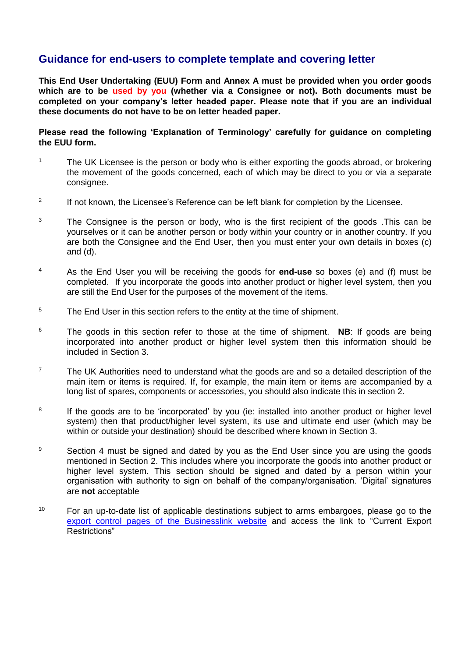# **Guidance for end-users to complete template and covering letter**

**This End User Undertaking (EUU) Form and Annex A must be provided when you order goods which are to be used by you (whether via a Consignee or not). Both documents must be completed on your company's letter headed paper. Please note that if you are an individual these documents do not have to be on letter headed paper.** 

**Please read the following 'Explanation of Terminology' carefully for guidance on completing the EUU form.** 

- <sup>1</sup> The UK Licensee is the person or body who is either exporting the goods abroad, or brokering the movement of the goods concerned, each of which may be direct to you or via a separate consignee.
- 2 If not known, the Licensee's Reference can be left blank for completion by the Licensee.
- $3$  The Consignee is the person or body, who is the first recipient of the goods .This can be yourselves or it can be another person or body within your country or in another country. If you are both the Consignee and the End User, then you must enter your own details in boxes (c) and (d).
- <sup>4</sup> As the End User you will be receiving the goods for **end-use** so boxes (e) and (f) must be completed. If you incorporate the goods into another product or higher level system, then you are still the End User for the purposes of the movement of the items.
- <sup>5</sup> The End User in this section refers to the entity at the time of shipment.
- <sup>6</sup> The goods in this section refer to those at the time of shipment. **NB**: If goods are being incorporated into another product or higher level system then this information should be included in Section 3.
- 7 The UK Authorities need to understand what the goods are and so a detailed description of the main item or items is required. If, for example, the main item or items are accompanied by a long list of spares, components or accessories, you should also indicate this in section 2.
- 8 If the goods are to be 'incorporated' by you (ie: installed into another product or higher level system) then that product/higher level system, its use and ultimate end user (which may be within or outside your destination) should be described where known in Section 3.
- <sup>9</sup> Section 4 must be signed and dated by you as the End User since you are using the goods mentioned in Section 2. This includes where you incorporate the goods into another product or higher level system. This section should be signed and dated by a person within your organisation with authority to sign on behalf of the company/organisation. 'Digital' signatures are **not** acceptable
- $10$  For an up-to-date list of applicable destinations subject to arms embargoes, please go to the [export control pages of the Businesslink website](http://www.businesslink.gov.uk/exportcontrol) and access the link to "Current Export Restrictions"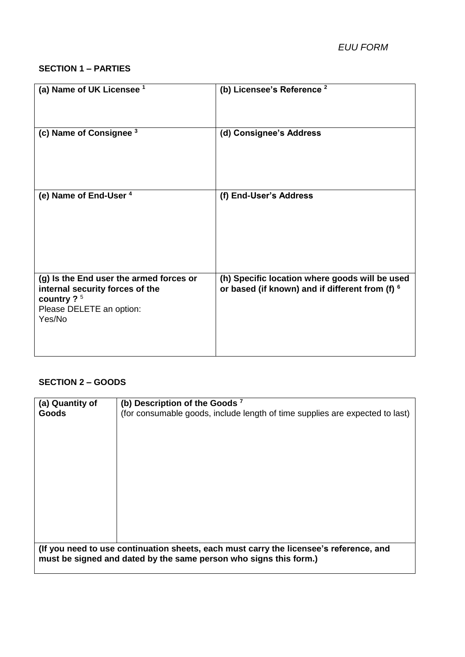#### **SECTION 1 – PARTIES**

| (a) Name of UK Licensee <sup>1</sup>                                                                                              | (b) Licensee's Reference <sup>2</sup>                                                             |
|-----------------------------------------------------------------------------------------------------------------------------------|---------------------------------------------------------------------------------------------------|
| (c) Name of Consignee 3                                                                                                           | (d) Consignee's Address                                                                           |
| (e) Name of End-User 4                                                                                                            | (f) End-User's Address                                                                            |
| (g) Is the End user the armed forces or<br>internal security forces of the<br>country $2^5$<br>Please DELETE an option:<br>Yes/No | (h) Specific location where goods will be used<br>or based (if known) and if different from (f) 6 |

### **SECTION 2 – GOODS**

| (a) Quantity of                                                                                                                                             | (b) Description of the Goods <sup>7</sup>                                    |
|-------------------------------------------------------------------------------------------------------------------------------------------------------------|------------------------------------------------------------------------------|
| Goods                                                                                                                                                       | (for consumable goods, include length of time supplies are expected to last) |
|                                                                                                                                                             |                                                                              |
|                                                                                                                                                             |                                                                              |
|                                                                                                                                                             |                                                                              |
|                                                                                                                                                             |                                                                              |
|                                                                                                                                                             |                                                                              |
|                                                                                                                                                             |                                                                              |
|                                                                                                                                                             |                                                                              |
|                                                                                                                                                             |                                                                              |
|                                                                                                                                                             |                                                                              |
|                                                                                                                                                             |                                                                              |
| (If you need to use continuation sheets, each must carry the licensee's reference, and<br>must be signed and dated by the same person who signs this form.) |                                                                              |
|                                                                                                                                                             |                                                                              |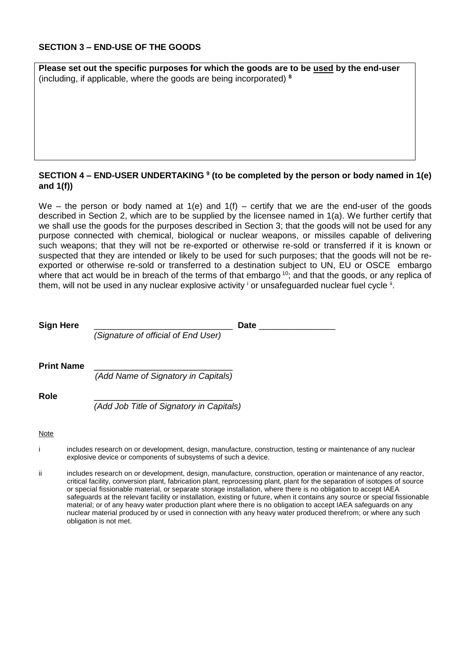#### **SECTION 3 – END-USE OF THE GOODS**

**Please set out the specific purposes for which the goods are to be used by the end-user**  (including, if applicable, where the goods are being incorporated) **<sup>8</sup>**

#### **SECTION 4 – END-USER UNDERTAKING <sup>9</sup> (to be completed by the person or body named in 1(e) and 1(f))**

We – the person or body named at  $1(e)$  and  $1(f)$  – certify that we are the end-user of the goods described in Section 2, which are to be supplied by the licensee named in 1(a). We further certify that we shall use the goods for the purposes described in Section 3; that the goods will not be used for any purpose connected with chemical, biological or nuclear weapons, or missiles capable of delivering such weapons; that they will not be re-exported or otherwise re-sold or transferred if it is known or suspected that they are intended or likely to be used for such purposes; that the goods will not be reexported or otherwise re-sold or transferred to a destination subject to UN, EU or OSCE embargo where that act would be in breach of the terms of that embargo <sup>10</sup>; and that the goods, or any replica of them, will not be used in any nuclear explosive activity  $^{\mathrm{i}}$  or unsafeguarded nuclear fuel cycle  $^{\mathrm{ii}}$ .

| <b>Sign Here</b>  | Date                                                                                                                                                                                                                           |  |
|-------------------|--------------------------------------------------------------------------------------------------------------------------------------------------------------------------------------------------------------------------------|--|
|                   | (Signature of official of End User)                                                                                                                                                                                            |  |
| <b>Print Name</b> |                                                                                                                                                                                                                                |  |
|                   | (Add Name of Signatory in Capitals)                                                                                                                                                                                            |  |
| Role              |                                                                                                                                                                                                                                |  |
|                   | (Add Job Title of Signatory in Capitals)                                                                                                                                                                                       |  |
| Note              |                                                                                                                                                                                                                                |  |
|                   | includes research on or development, design, manufacture, construction, testing or maintenance of any nuclear<br>explosive device or components of subsystems of such a device.                                                |  |
| ii.               | includes research on or development, design, manufacture, construction, operation or maintenance of any react<br>saliaal faailitu aasunaasa missi fabasatan missi meessaasasa missi missi famika aanamatan af isatamaa af aasu |  |

ance of any reactor, critical facility, conversion plant, fabrication plant, reprocessing plant, plant for the separation of isotopes of source or special fissionable material, or separate storage installation, where there is no obligation to accept IAEA safeguards at the relevant facility or installation, existing or future, when it contains any source or special fissionable material; or of any heavy water production plant where there is no obligation to accept IAEA safeguards on any nuclear material produced by or used in connection with any heavy water produced therefrom; or where any such obligation is not met.